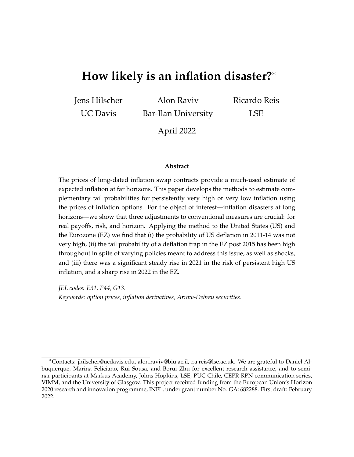# **How likely is an inflation disaster?**<sup>∗</sup>

Jens Hilscher

UC Davis

Alon Raviv Bar-Ilan University Ricardo Reis LSE

April 2022

#### **Abstract**

The prices of long-dated inflation swap contracts provide a much-used estimate of expected inflation at far horizons. This paper develops the methods to estimate complementary tail probabilities for persistently very high or very low inflation using the prices of inflation options. For the object of interest—inflation disasters at long horizons—we show that three adjustments to conventional measures are crucial: for real payoffs, risk, and horizon. Applying the method to the United States (US) and the Eurozone (EZ) we find that (i) the probability of US deflation in 2011-14 was not very high, (ii) the tail probability of a deflation trap in the EZ post 2015 has been high throughout in spite of varying policies meant to address this issue, as well as shocks, and (iii) there was a significant steady rise in 2021 in the risk of persistent high US inflation, and a sharp rise in 2022 in the EZ.

*JEL codes: E31, E44, G13*. *Keywords: option prices, inflation derivatives, Arrow-Debreu securities.*

<sup>∗</sup>Contacts: jhilscher@ucdavis.edu, alon.raviv@biu.ac.il, r.a.reis@lse.ac.uk. We are grateful to Daniel Albuquerque, Marina Feliciano, Rui Sousa, and Borui Zhu for excellent research assistance, and to seminar participants at Markus Academy, Johns Hopkins, LSE, PUC Chile, CEPR RPN communication series, VIMM, and the University of Glasgow. This project received funding from the European Union's Horizon 2020 research and innovation programme, INFL, under grant number No. GA: 682288. First draft: February 2022.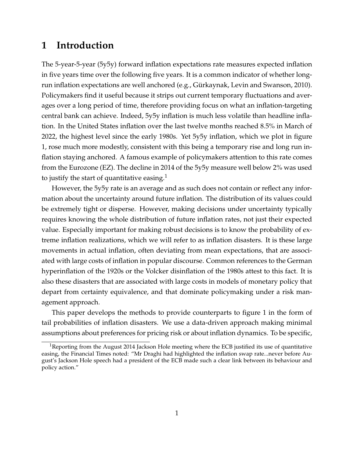## **1 Introduction**

The 5-year-5-year (5y5y) forward inflation expectations rate measures expected inflation in five years time over the following five years. It is a common indicator of whether long-run inflation expectations are well anchored (e.g., Gürkaynak, Levin and Swanson, [2010\)](#page-35-0). Policymakers find it useful because it strips out current temporary fluctuations and averages over a long period of time, therefore providing focus on what an inflation-targeting central bank can achieve. Indeed, 5y5y inflation is much less volatile than headline inflation. In the United States inflation over the last twelve months reached 8.5% in March of 2022, the highest level since the early 1980s. Yet 5y5y inflation, which we plot in figure [1,](#page-3-0) rose much more modestly, consistent with this being a temporary rise and long run inflation staying anchored. A famous example of policymakers attention to this rate comes from the Eurozone (EZ). The decline in 2014 of the 5y5y measure well below 2% was used to justify the start of quantitative easing. $<sup>1</sup>$  $<sup>1</sup>$  $<sup>1</sup>$ </sup>

However, the 5y5y rate is an average and as such does not contain or reflect any information about the uncertainty around future inflation. The distribution of its values could be extremely tight or disperse. However, making decisions under uncertainty typically requires knowing the whole distribution of future inflation rates, not just their expected value. Especially important for making robust decisions is to know the probability of extreme inflation realizations, which we will refer to as inflation disasters. It is these large movements in actual inflation, often deviating from mean expectations, that are associated with large costs of inflation in popular discourse. Common references to the German hyperinflation of the 1920s or the Volcker disinflation of the 1980s attest to this fact. It is also these disasters that are associated with large costs in models of monetary policy that depart from certainty equivalence, and that dominate policymaking under a risk management approach.

This paper develops the methods to provide counterparts to figure [1](#page-3-0) in the form of tail probabilities of inflation disasters. We use a data-driven approach making minimal assumptions about preferences for pricing risk or about inflation dynamics. To be specific,

<span id="page-1-0"></span><sup>&</sup>lt;sup>1</sup>Reporting from the August 2014 Jackson Hole meeting where the ECB justified its use of quantitative easing, the Financial Times noted: "Mr Draghi had highlighted the inflation swap rate...never before August's Jackson Hole speech had a president of the ECB made such a clear link between its behaviour and policy action."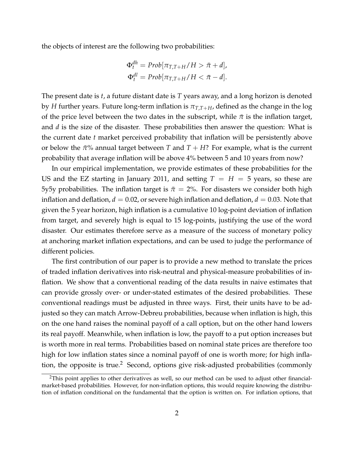the objects of interest are the following two probabilities:

$$
\Phi_t^{dh} = Prob[\pi_{T,T+H}/H > \bar{\pi} + d],
$$
  

$$
\Phi_t^{dl} = Prob[\pi_{T,T+H}/H < \bar{\pi} - d].
$$

The present date is *t*, a future distant date is *T* years away, and a long horizon is denoted by *H* further years. Future long-term inflation is  $\pi_{T,T+H}$ , defined as the change in the log of the price level between the two dates in the subscript, while  $\bar{\pi}$  is the inflation target, and *d* is the size of the disaster. These probabilities then answer the question: What is the current date *t* market perceived probability that inflation will be persistently above or below the  $\pi\%$  annual target between *T* and  $T + H$ ? For example, what is the current probability that average inflation will be above 4% between 5 and 10 years from now?

In our empirical implementation, we provide estimates of these probabilities for the US and the EZ starting in January 2011, and setting  $T = H = 5$  years, so these are 5y5y probabilities. The inflation target is  $\bar{\pi} = 2\%$ . For disasters we consider both high inflation and deflation,  $d = 0.02$ , or severe high inflation and deflation,  $d = 0.03$ . Note that given the 5 year horizon, high inflation is a cumulative 10 log-point deviation of inflation from target, and severely high is equal to 15 log-points, justifying the use of the word disaster. Our estimates therefore serve as a measure of the success of monetary policy at anchoring market inflation expectations, and can be used to judge the performance of different policies.

The first contribution of our paper is to provide a new method to translate the prices of traded inflation derivatives into risk-neutral and physical-measure probabilities of inflation. We show that a conventional reading of the data results in naive estimates that can provide grossly over- or under-stated estimates of the desired probabilities. These conventional readings must be adjusted in three ways. First, their units have to be adjusted so they can match Arrow-Debreu probabilities, because when inflation is high, this on the one hand raises the nominal payoff of a call option, but on the other hand lowers its real payoff. Meanwhile, when inflation is low, the payoff to a put option increases but is worth more in real terms. Probabilities based on nominal state prices are therefore too high for low inflation states since a nominal payoff of one is worth more; for high infla-tion, the opposite is true.<sup>[2](#page-2-0)</sup> Second, options give risk-adjusted probabilities (commonly

<span id="page-2-0"></span><sup>&</sup>lt;sup>2</sup>This point applies to other derivatives as well, so our method can be used to adjust other financialmarket-based probabilities. However, for non-inflation options, this would require knowing the distribution of inflation conditional on the fundamental that the option is written on. For inflation options, that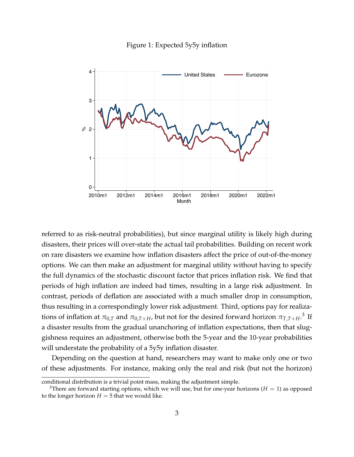

<span id="page-3-0"></span>

referred to as risk-neutral probabilities), but since marginal utility is likely high during disasters, their prices will over-state the actual tail probabilities. Building on recent work on rare disasters we examine how inflation disasters affect the price of out-of-the-money options. We can then make an adjustment for marginal utility without having to specify the full dynamics of the stochastic discount factor that prices inflation risk. We find that periods of high inflation are indeed bad times, resulting in a large risk adjustment. In contrast, periods of deflation are associated with a much smaller drop in consumption, thus resulting in a correspondingly lower risk adjustment. Third, options pay for realizations of inflation at  $\pi_{0,T}$  and  $\pi_{0,T+H}$ , but not for the desired forward horizon  $\pi_{T,T+H}$ .<sup>[3](#page-3-1)</sup> If a disaster results from the gradual unanchoring of inflation expectations, then that sluggishness requires an adjustment, otherwise both the 5-year and the 10-year probabilities will understate the probability of a 5y5y inflation disaster.

Depending on the question at hand, researchers may want to make only one or two of these adjustments. For instance, making only the real and risk (but not the horizon)

conditional distribution is a trivial point mass, making the adjustment simple.

<span id="page-3-1"></span><sup>&</sup>lt;sup>3</sup>There are forward starting options, which we will use, but for one-year horizons ( $H = 1$ ) as opposed to the longer horizon  $H = 5$  that we would like.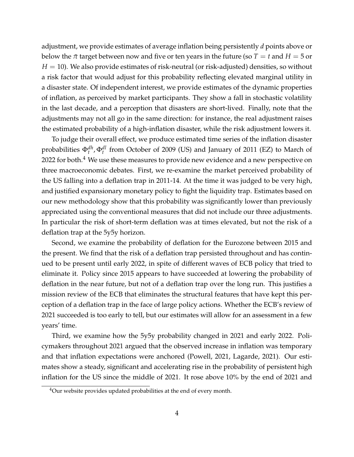adjustment, we provide estimates of average inflation being persistently *d* points above or below the  $\bar{\pi}$  target between now and five or ten years in the future (so  $T = t$  and  $H = 5$  or *H* = 10). We also provide estimates of risk-neutral (or risk-adjusted) densities, so without a risk factor that would adjust for this probability reflecting elevated marginal utility in a disaster state. Of independent interest, we provide estimates of the dynamic properties of inflation, as perceived by market participants. They show a fall in stochastic volatility in the last decade, and a perception that disasters are short-lived. Finally, note that the adjustments may not all go in the same direction: for instance, the real adjustment raises the estimated probability of a high-inflation disaster, while the risk adjustment lowers it.

To judge their overall effect, we produce estimated time series of the inflation disaster probabilities Φ*dh t* , Φ*dl t* from October of 2009 (US) and January of 2011 (EZ) to March of 2022 for both. $4$  We use these measures to provide new evidence and a new perspective on three macroeconomic debates. First, we re-examine the market perceived probability of the US falling into a deflation trap in 2011-14. At the time it was judged to be very high, and justified expansionary monetary policy to fight the liquidity trap. Estimates based on our new methodology show that this probability was significantly lower than previously appreciated using the conventional measures that did not include our three adjustments. In particular the risk of short-term deflation was at times elevated, but not the risk of a deflation trap at the 5y5y horizon.

Second, we examine the probability of deflation for the Eurozone between 2015 and the present. We find that the risk of a deflation trap persisted throughout and has continued to be present until early 2022, in spite of different waves of ECB policy that tried to eliminate it. Policy since 2015 appears to have succeeded at lowering the probability of deflation in the near future, but not of a deflation trap over the long run. This justifies a mission review of the ECB that eliminates the structural features that have kept this perception of a deflation trap in the face of large policy actions. Whether the ECB's review of 2021 succeeded is too early to tell, but our estimates will allow for an assessment in a few years' time.

Third, we examine how the 5y5y probability changed in 2021 and early 2022. Policymakers throughout 2021 argued that the observed increase in inflation was temporary and that inflation expectations were anchored [\(Powell,](#page-35-1) [2021,](#page-35-1) [Lagarde,](#page-35-2) [2021\)](#page-35-2). Our estimates show a steady, significant and accelerating rise in the probability of persistent high inflation for the US since the middle of 2021. It rose above 10% by the end of 2021 and

<span id="page-4-0"></span><sup>&</sup>lt;sup>4</sup>Our website provides updated probabilities at the end of every month.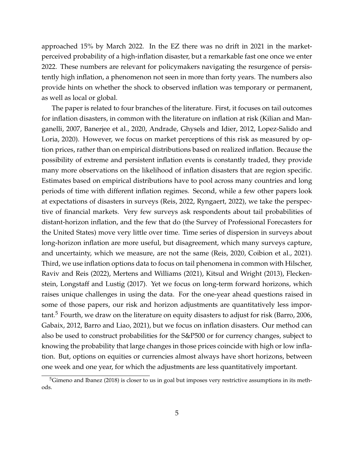approached 15% by March 2022. In the EZ there was no drift in 2021 in the marketperceived probability of a high-inflation disaster, but a remarkable fast one once we enter 2022. These numbers are relevant for policymakers navigating the resurgence of persistently high inflation, a phenomenon not seen in more than forty years. The numbers also provide hints on whether the shock to observed inflation was temporary or permanent, as well as local or global.

The paper is related to four branches of the literature. First, it focuses on tail outcomes for inflation disasters, in common with the literature on inflation at risk [\(Kilian and Man](#page-35-3)[ganelli,](#page-35-3) [2007,](#page-35-3) [Banerjee et al.,](#page-34-0) [2020,](#page-34-0) [Andrade, Ghysels and Idier,](#page-34-1) [2012,](#page-34-1) [Lopez-Salido and](#page-35-4) [Loria,](#page-35-4) [2020\)](#page-35-4). However, we focus on market perceptions of this risk as measured by option prices, rather than on empirical distributions based on realized inflation. Because the possibility of extreme and persistent inflation events is constantly traded, they provide many more observations on the likelihood of inflation disasters that are region specific. Estimates based on empirical distributions have to pool across many countries and long periods of time with different inflation regimes. Second, while a few other papers look at expectations of disasters in surveys [\(Reis,](#page-35-5) [2022,](#page-35-5) [Ryngaert,](#page-35-6) [2022\)](#page-35-6), we take the perspective of financial markets. Very few surveys ask respondents about tail probabilities of distant-horizon inflation, and the few that do (the Survey of Professional Forecasters for the United States) move very little over time. Time series of dispersion in surveys about long-horizon inflation are more useful, but disagreement, which many surveys capture, and uncertainty, which we measure, are not the same [\(Reis,](#page-35-7) [2020,](#page-35-7) [Coibion et al.,](#page-34-2) [2021\)](#page-34-2). Third, we use inflation options data to focus on tail phenomena in common with [Hilscher,](#page-35-8) [Raviv and Reis](#page-35-8) [\(2022\)](#page-35-8), [Mertens and Williams](#page-35-9) [\(2021\)](#page-35-9), [Kitsul and Wright](#page-35-10) [\(2013\)](#page-35-10), [Flecken](#page-34-3)[stein, Longstaff and Lustig](#page-34-3) [\(2017\)](#page-34-3). Yet we focus on long-term forward horizons, which raises unique challenges in using the data. For the one-year ahead questions raised in some of those papers, our risk and horizon adjustments are quantitatively less impor-tant.<sup>[5](#page-5-0)</sup> Fourth, we draw on the literature on equity disasters to adjust for risk [\(Barro,](#page-34-4) [2006,](#page-34-4) [Gabaix,](#page-34-5) [2012,](#page-34-5) [Barro and Liao,](#page-34-6) [2021\)](#page-34-6), but we focus on inflation disasters. Our method can also be used to construct probabilities for the S&P500 or for currency changes, subject to knowing the probability that large changes in those prices coincide with high or low inflation. But, options on equities or currencies almost always have short horizons, between one week and one year, for which the adjustments are less quantitatively important.

<span id="page-5-0"></span><sup>&</sup>lt;sup>5</sup>[Gimeno and Ibanez](#page-34-7) [\(2018\)](#page-34-7) is closer to us in goal but imposes very restrictive assumptions in its methods.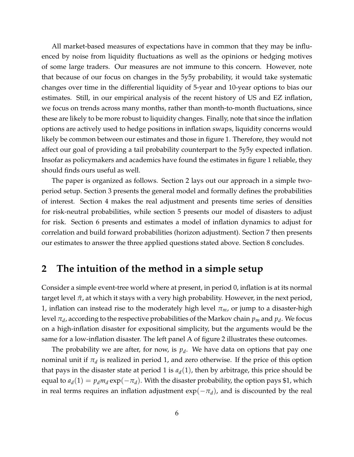All market-based measures of expectations have in common that they may be influenced by noise from liquidity fluctuations as well as the opinions or hedging motives of some large traders. Our measures are not immune to this concern. However, note that because of our focus on changes in the 5y5y probability, it would take systematic changes over time in the differential liquidity of 5-year and 10-year options to bias our estimates. Still, in our empirical analysis of the recent history of US and EZ inflation, we focus on trends across many months, rather than month-to-month fluctuations, since these are likely to be more robust to liquidity changes. Finally, note that since the inflation options are actively used to hedge positions in inflation swaps, liquidity concerns would likely be common between our estimates and those in figure [1.](#page-3-0) Therefore, they would not affect our goal of providing a tail probability counterpart to the 5y5y expected inflation. Insofar as policymakers and academics have found the estimates in figure [1](#page-3-0) reliable, they should finds ours useful as well.

The paper is organized as follows. Section [2](#page-6-0) lays out our approach in a simple twoperiod setup. Section [3](#page-10-0) presents the general model and formally defines the probabilities of interest. Section [4](#page-13-0) makes the real adjustment and presents time series of densities for risk-neutral probabilities, while section [5](#page-18-0) presents our model of disasters to adjust for risk. Section [6](#page-22-0) presents and estimates a model of inflation dynamics to adjust for correlation and build forward probabilities (horizon adjustment). Section [7](#page-27-0) then presents our estimates to answer the three applied questions stated above. Section [8](#page-32-0) concludes.

## <span id="page-6-0"></span>**2 The intuition of the method in a simple setup**

Consider a simple event-tree world where at present, in period 0, inflation is at its normal target level  $\bar{\pi}$ , at which it stays with a very high probability. However, in the next period, 1, inflation can instead rise to the moderately high level *πm*, or jump to a disaster-high level  $\pi_d$ , according to the respective probabilities of the Markov chain  $p_m$  and  $p_d$ . We focus on a high-inflation disaster for expositional simplicity, but the arguments would be the same for a low-inflation disaster. The left panel A of figure [2](#page-7-0) illustrates these outcomes.

The probability we are after, for now, is  $p_d$ . We have data on options that pay one nominal unit if  $\pi_d$  is realized in period 1, and zero otherwise. If the price of this option that pays in the disaster state at period 1 is  $a_d(1)$ , then by arbitrage, this price should be equal to  $a_d(1) = p_d m_d \exp(-\pi_d)$ . With the disaster probability, the option pays \$1, which in real terms requires an inflation adjustment  $exp(-\pi_d)$ , and is discounted by the real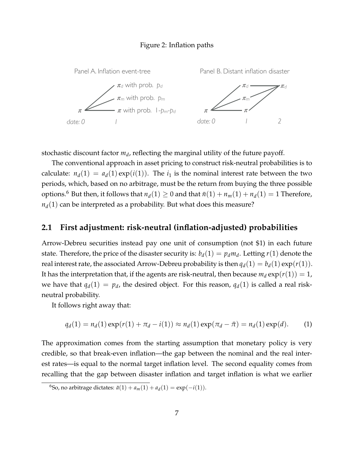#### Figure 2: Inflation paths

<span id="page-7-0"></span>

stochastic discount factor *m<sup>d</sup>* , reflecting the marginal utility of the future payoff.

options.<sup>[6](#page-7-1)</sup> But then, it follows that  $n_d(1) \geq 0$  and that  $\bar{n}(1) + n_m(1) + n_d(1) = 1$  Therefore, The conventional approach in asset pricing to construct risk-neutral probabilities is to calculate:  $n_d(1) = a_d(1) \exp(i(1))$ . The  $i_1$  is the nominal interest rate between the two periods, which, based on no arbitrage, must be the return from buying the three possible  $n_d(1)$  can be interpreted as a probability. But what does this measure?

### **2.1 First adjustment: risk-neutral (inflation-adjusted) probabilities**

Arrow-Debreu securities instead pay one unit of consumption (not \$1) in each future state. Therefore, the price of the disaster security is:  $b_d(1) = p_d m_d$ . Letting  $r(1)$  denote the real interest rate, the associated Arrow-Debreu probability is then  $q_d(1) = b_d(1) \exp(r(1))$ . It has the interpretation that, if the agents are risk-neutral, then because  $m_d \exp(r(1)) = 1$ , we have that  $q_d(1) = p_d$ , the desired object. For this reason,  $q_d(1)$  is called a real riskneutral probability.

It follows right away that:

$$
q_d(1) = n_d(1) \exp(r(1) + \pi_d - i(1)) \approx n_d(1) \exp(\pi_d - \bar{\pi}) = n_d(1) \exp(d).
$$
 (1)

The approximation comes from the starting assumption that monetary policy is very credible, so that break-even inflation—the gap between the nominal and the real interest rates—is equal to the normal target inflation level. The second equality comes from recalling that the gap between disaster inflation and target inflation is what we earlier

<span id="page-7-1"></span><sup>&</sup>lt;sup>6</sup>So, no arbitrage dictates:  $\bar{a}(1) + a_m(1) + a_d(1) = \exp(-i(1)).$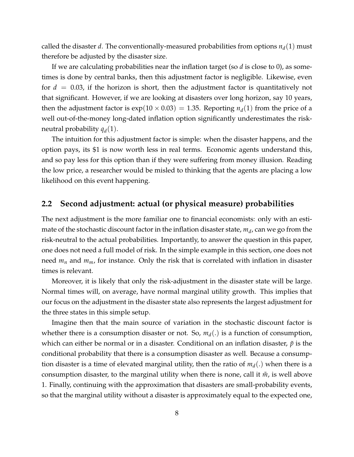called the disaster *d*. The conventionally-measured probabilities from options  $n_d(1)$  must therefore be adjusted by the disaster size.

If we are calculating probabilities near the inflation target (so *d* is close to 0), as sometimes is done by central banks, then this adjustment factor is negligible. Likewise, even for *d* = 0.03, if the horizon is short, then the adjustment factor is quantitatively not that significant. However, if we are looking at disasters over long horizon, say 10 years, then the adjustment factor is  $exp(10 \times 0.03) = 1.35$ . Reporting  $n_d(1)$  from the price of a well out-of-the-money long-dated inflation option significantly underestimates the riskneutral probability  $q_d(1)$ .

The intuition for this adjustment factor is simple: when the disaster happens, and the option pays, its \$1 is now worth less in real terms. Economic agents understand this, and so pay less for this option than if they were suffering from money illusion. Reading the low price, a researcher would be misled to thinking that the agents are placing a low likelihood on this event happening.

### **2.2 Second adjustment: actual (or physical measure) probabilities**

The next adjustment is the more familiar one to financial economists: only with an estimate of the stochastic discount factor in the inflation disaster state*,*  $m_d$ *,* can we go from the risk-neutral to the actual probabilities. Importantly, to answer the question in this paper, one does not need a full model of risk. In the simple example in this section, one does not need  $m_n$  and  $m_m$ , for instance. Only the risk that is correlated with inflation in disaster times is relevant.

Moreover, it is likely that only the risk-adjustment in the disaster state will be large. Normal times will, on average, have normal marginal utility growth. This implies that our focus on the adjustment in the disaster state also represents the largest adjustment for the three states in this simple setup.

Imagine then that the main source of variation in the stochastic discount factor is whether there is a consumption disaster or not. So,  $m_d(.)$  is a function of consumption, which can either be normal or in a disaster. Conditional on an inflation disaster,  $\tilde{p}$  is the conditional probability that there is a consumption disaster as well. Because a consumption disaster is a time of elevated marginal utility, then the ratio of  $m_d(.)$  when there is a consumption disaster, to the marginal utility when there is none, call it  $\tilde{m}$ , is well above 1. Finally, continuing with the approximation that disasters are small-probability events, so that the marginal utility without a disaster is approximately equal to the expected one,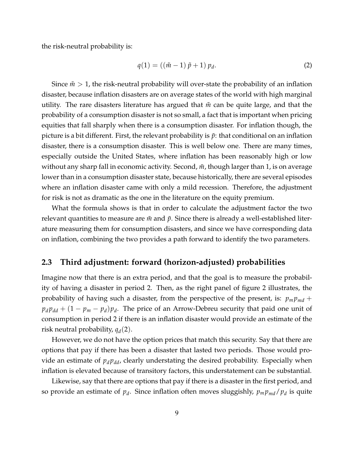the risk-neutral probability is:

$$
q(1) = ((\tilde{m} - 1)\tilde{p} + 1) p_d.
$$
 (2)

Since  $\tilde{m} > 1$ , the risk-neutral probability will over-state the probability of an inflation disaster, because inflation disasters are on average states of the world with high marginal utility. The rare disasters literature has argued that  $\tilde{m}$  can be quite large, and that the probability of a consumption disaster is not so small, a fact that is important when pricing equities that fall sharply when there is a consumption disaster. For inflation though, the picture is a bit different. First, the relevant probability is  $\tilde{p}$ : that conditional on an inflation disaster, there is a consumption disaster. This is well below one. There are many times, especially outside the United States, where inflation has been reasonably high or low without any sharp fall in economic activity. Second,  $\tilde{m}$ , though larger than 1, is on average lower than in a consumption disaster state, because historically, there are several episodes where an inflation disaster came with only a mild recession. Therefore, the adjustment for risk is not as dramatic as the one in the literature on the equity premium.

What the formula shows is that in order to calculate the adjustment factor the two relevant quantities to measure are  $\tilde{m}$  and  $\tilde{p}$ . Since there is already a well-established literature measuring them for consumption disasters, and since we have corresponding data on inflation, combining the two provides a path forward to identify the two parameters.

### **2.3 Third adjustment: forward (horizon-adjusted) probabilities**

Imagine now that there is an extra period, and that the goal is to measure the probability of having a disaster in period 2. Then, as the right panel of figure [2](#page-7-0) illustrates, the probability of having such a disaster, from the perspective of the present, is:  $p_m p_{md}$  +  $p_d p_{dd} + (1 - p_m - p_d)p_d$ . The price of an Arrow-Debreu security that paid one unit of consumption in period 2 if there is an inflation disaster would provide an estimate of the risk neutral probability,  $q_d(2)$ .

However, we do not have the option prices that match this security. Say that there are options that pay if there has been a disaster that lasted two periods. Those would provide an estimate of  $p_d p_{dd}$ , clearly understating the desired probability. Especially when inflation is elevated because of transitory factors, this understatement can be substantial.

Likewise, say that there are options that pay if there is a disaster in the first period, and so provide an estimate of  $p_d$ . Since inflation often moves sluggishly,  $p_m p_{md}/p_d$  is quite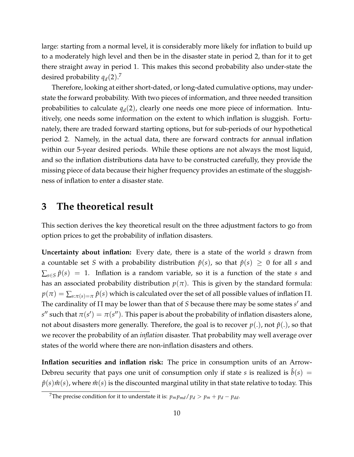large: starting from a normal level, it is considerably more likely for inflation to build up to a moderately high level and then be in the disaster state in period 2, than for it to get there straight away in period 1. This makes this second probability also under-state the desired probability *qd*(2). [7](#page-10-1)

Therefore, looking at either short-dated, or long-dated cumulative options, may understate the forward probability. With two pieces of information, and three needed transition probabilities to calculate  $q_d(2)$ , clearly one needs one more piece of information. Intuitively, one needs some information on the extent to which inflation is sluggish. Fortunately, there are traded forward starting options, but for sub-periods of our hypothetical period 2. Namely, in the actual data, there are forward contracts for annual inflation within our 5-year desired periods. While these options are not always the most liquid, and so the inflation distributions data have to be constructed carefully, they provide the missing piece of data because their higher frequency provides an estimate of the sluggishness of inflation to enter a disaster state.

## <span id="page-10-0"></span>**3 The theoretical result**

This section derives the key theoretical result on the three adjustment factors to go from option prices to get the probability of inflation disasters.

**Uncertainty about inflation:** Every date, there is a state of the world *s* drawn from a countable set *S* with a probability distribution  $\hat{p}(s)$ , so that  $\hat{p}(s) \geq 0$  for all *s* and  $\sum_{s \in S} \hat{p}(s) = 1$ . Inflation is a random variable, so it is a function of the state *s* and has an associated probability distribution  $p(\pi)$ . This is given by the standard formula:  $p(\pi) = \sum_{s:\pi(s)=\pi} \hat{p}(s)$  which is calculated over the set of all possible values of inflation  $\Pi$ . The cardinality of Π may be lower than that of *S* because there may be some states *s'* and *s*" such that  $\pi(s') = \pi(s'')$ . This paper is about the probability of inflation disasters alone, not about disasters more generally. Therefore, the goal is to recover  $p(.)$ , not  $\hat{p}(.)$ , so that we recover the probability of an *inflation* disaster. That probability may well average over states of the world where there are non-inflation disasters and others.

**Inflation securities and inflation risk:** The price in consumption units of an Arrow-Debreu security that pays one unit of consumption only if state *s* is realized is  $b(s)$  =  $\hat{p}(s)\hat{m}(s)$ , where  $\hat{m}(s)$  is the discounted marginal utility in that state relative to today. This

<span id="page-10-1"></span><sup>&</sup>lt;sup>7</sup>The precise condition for it to understate it is:  $p_m p_{md}/p_d > p_m + p_d - p_{dd}$ .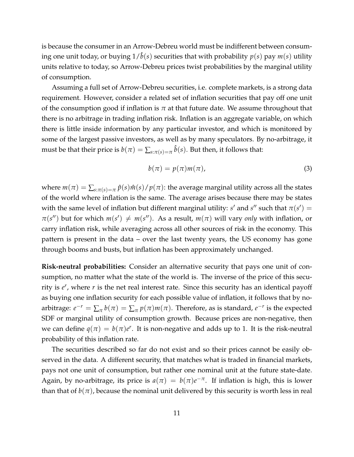is because the consumer in an Arrow-Debreu world must be indifferent between consuming one unit today, or buying  $1/\tilde{b}(s)$  securities that with probability  $p(s)$  pay  $m(s)$  utility units relative to today, so Arrow-Debreu prices twist probabilities by the marginal utility of consumption.

Assuming a full set of Arrow-Debreu securities, i.e. complete markets, is a strong data requirement. However, consider a related set of inflation securities that pay off one unit of the consumption good if inflation is  $\pi$  at that future date. We assume throughout that there is no arbitrage in trading inflation risk. Inflation is an aggregate variable, on which there is little inside information by any particular investor, and which is monitored by some of the largest passive investors, as well as by many speculators. By no-arbitrage, it must be that their price is  $b(\pi) = \sum_{s: \pi(s) = \pi} \hat{b}(s)$ . But then, it follows that:

<span id="page-11-0"></span>
$$
b(\pi) = p(\pi)m(\pi), \tag{3}
$$

where  $m(\pi) = \sum_{s: \pi(s) = \pi} \hat{p}(s) \hat{m}(s) / p(\pi)$ : the average marginal utility across all the states of the world where inflation is the same. The average arises because there may be states with the same level of inflation but different marginal utility: *s'* and *s''* such that  $\pi(s') =$  $\pi(s'')$  but for which  $m(s') \neq m(s'')$ . As a result,  $m(\pi)$  will vary *only* with inflation, or carry inflation risk, while averaging across all other sources of risk in the economy. This pattern is present in the data – over the last twenty years, the US economy has gone through booms and busts, but inflation has been approximately unchanged.

**Risk-neutral probabilities:** Consider an alternative security that pays one unit of consumption, no matter what the state of the world is. The inverse of the price of this security is  $e^r$ , where *r* is the net real interest rate. Since this security has an identical payoff as buying one inflation security for each possible value of inflation, it follows that by noarbitrage:  $e^{-r} = \sum_{\pi} b(\pi) = \sum_{\pi} p(\pi) m(\pi)$ . Therefore, as is standard,  $e^{-r}$  is the expected SDF or marginal utility of consumption growth. Because prices are non-negative, then we can define  $q(\pi) = b(\pi)e^r$ . It is non-negative and adds up to 1. It is the risk-neutral probability of this inflation rate.

The securities described so far do not exist and so their prices cannot be easily observed in the data. A different security, that matches what is traded in financial markets, pays not one unit of consumption, but rather one nominal unit at the future state-date. Again, by no-arbitrage, its price is  $a(\pi) = b(\pi)e^{-\pi}$ . If inflation is high, this is lower than that of  $b(\pi)$ , because the nominal unit delivered by this security is worth less in real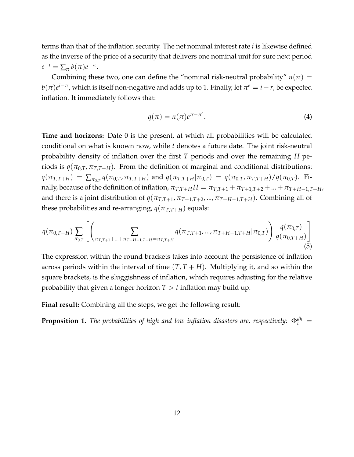terms than that of the inflation security. The net nominal interest rate *i* is likewise defined as the inverse of the price of a security that delivers one nominal unit for sure next period  $e^{-i} = \sum_{\pi} b(\pi) e^{-\pi}.$ 

Combining these two, one can define the "nominal risk-neutral probability"  $n(\pi) =$  $b(\pi)e^{i-\pi}$ , which is itself non-negative and adds up to 1. Finally, let  $\pi^e=i-r$ , be expected inflation. It immediately follows that:

<span id="page-12-0"></span>
$$
q(\pi) = n(\pi)e^{\pi - \pi^e}.
$$
 (4)

**Time and horizons:** Date 0 is the present, at which all probabilities will be calculated conditional on what is known now, while *t* denotes a future date. The joint risk-neutral probability density of inflation over the first *T* periods and over the remaining *H* periods is  $q(\pi_{0,T}, \pi_{T,T+H})$ . From the definition of marginal and conditional distributions:  $q(\pi_{T,T+H}) = \sum_{\pi_{0,T}} q(\pi_{0,T}, \pi_{T,T+H})$  and  $q(\pi_{T,T+H}|\pi_{0,T}) = q(\pi_{0,T}, \pi_{T,T+H})/q(\pi_{0,T})$ . Finally, because of the definition of inflation,  $\pi_{T,T+H}H = \pi_{T,T+1} + \pi_{T+1,T+2} + ... + \pi_{T+H-1,T+H}$ and there is a joint distribution of  $q(\pi_{T,T+1}, \pi_{T+1,T+2}, ..., \pi_{T+H-1,T+H})$ . Combining all of these probabilities and re-arranging,  $q(\pi_{T,T+H})$  equals:

$$
q(\pi_{0,T+H})\sum_{\pi_{0,T}}\left[\left(\sum_{\pi_{T,T+1}+\ldots+\pi_{T+H-1,T+H}=\pi_{T,T+H}}q(\pi_{T,T+1},...,\pi_{T+H-1,T+H}|\pi_{0,T})\right)\frac{q(\pi_{0,T})}{q(\pi_{0,T+H})}\right]
$$
(5)

The expression within the round brackets takes into account the persistence of inflation across periods within the interval of time  $(T, T + H)$ . Multiplying it, and so within the square brackets, is the sluggishness of inflation, which requires adjusting for the relative probability that given a longer horizon  $T > t$  inflation may build up.

**Final result:** Combining all the steps, we get the following result:

**Proposition 1.** *The probabilities of high and low inflation disasters are, respectively:*  $\Phi_t^{dh} =$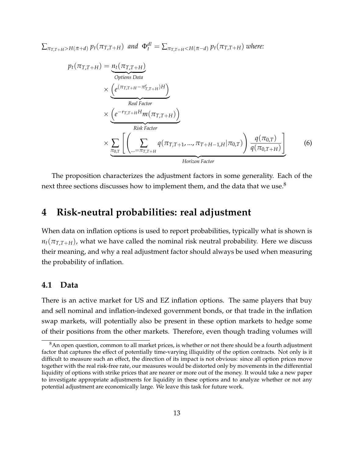$\sum_{\pi_{T,T+H}>H(\bar{\pi}+d)}p_t(\pi_{T,T+H})$  and  $\Phi_t^{dl}=\sum_{\pi_{T,T+H} where:$ 

$$
p_t(\pi_{T,T+H}) = \underbrace{n_t(\pi_{T,T+H})}_{\text{Options Data}} \\
\times \underbrace{\left(e^{(\pi_{T,T+H} - \pi_{T,T+H}^e)H}\right)}_{\text{Real Factor}} \\
\times \underbrace{\left(e^{-r_{T,T+H}H}m(\pi_{T,T+H})\right)}_{\text{Risk Factor}} \\
\times \underbrace{\sum_{\pi_{0,T}} \left[\left(\sum_{\dots = \pi_{T,T+H}} q(\pi_{T,T+1}, ..., \pi_{T+H-1,H}|\pi_{0,T})\right) \frac{q(\pi_{0,T})}{q(\pi_{0,T+H})}\right]}_{\text{Horizontal Factor}}
$$
(6)

The proposition characterizes the adjustment factors in some generality. Each of the next three sections discusses how to implement them, and the data that we use.<sup>[8](#page-13-1)</sup>

## <span id="page-13-0"></span>**4 Risk-neutral probabilities: real adjustment**

When data on inflation options is used to report probabilities, typically what is shown is  $n_t(\pi_{T,T+H})$ , what we have called the nominal risk neutral probability. Here we discuss their meaning, and why a real adjustment factor should always be used when measuring the probability of inflation.

#### **4.1 Data**

There is an active market for US and EZ inflation options. The same players that buy and sell nominal and inflation-indexed government bonds, or that trade in the inflation swap markets, will potentially also be present in these option markets to hedge some of their positions from the other markets. Therefore, even though trading volumes will

<span id="page-13-1"></span><sup>&</sup>lt;sup>8</sup>An open question, common to all market prices, is whether or not there should be a fourth adjustment factor that captures the effect of potentially time-varying illiquidity of the option contracts. Not only is it difficult to measure such an effect, the direction of its impact is not obvious: since all option prices move together with the real risk-free rate, our measures would be distorted only by movements in the differential liquidity of options with strike prices that are nearer or more out of the money. It would take a new paper to investigate appropriate adjustments for liquidity in these options and to analyze whether or not any potential adjustment are economically large. We leave this task for future work.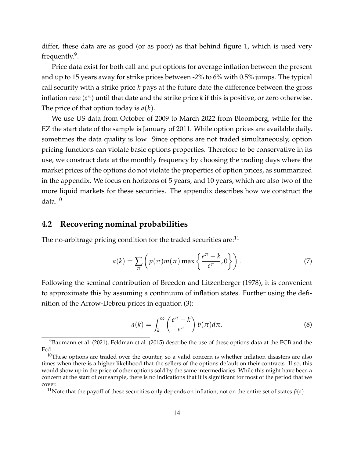differ, these data are as good (or as poor) as that behind figure [1,](#page-3-0) which is used very frequently.<sup>[9](#page-14-0)</sup>.

Price data exist for both call and put options for average inflation between the present and up to 15 years away for strike prices between -2% to 6% with 0.5% jumps. The typical call security with a strike price *k* pays at the future date the difference between the gross inflation rate ( $e^\pi$ ) until that date and the strike price  $k$  if this is positive, or zero otherwise. The price of that option today is *a*(*k*).

We use US data from October of 2009 to March 2022 from Bloomberg, while for the EZ the start date of the sample is January of 2011. While option prices are available daily, sometimes the data quality is low. Since options are not traded simultaneously, option pricing functions can violate basic options properties. Therefore to be conservative in its use, we construct data at the monthly frequency by choosing the trading days where the market prices of the options do not violate the properties of option prices, as summarized in the appendix. We focus on horizons of 5 years, and 10 years, which are also two of the more liquid markets for these securities. The appendix describes how we construct the data.[10](#page-14-1)

#### **4.2 Recovering nominal probabilities**

The no-arbitrage pricing condition for the traded securities are: $<sup>11</sup>$  $<sup>11</sup>$  $<sup>11</sup>$ </sup>

$$
a(k) = \sum_{\pi} \left( p(\pi)m(\pi) \max \left\{ \frac{e^{\pi} - k}{e^{\pi}}, 0 \right\} \right).
$$
 (7)

Following the seminal contribution of [Breeden and Litzenberger](#page-34-8) [\(1978\)](#page-34-8), it is convenient to approximate this by assuming a continuum of inflation states. Further using the definition of the Arrow-Debreu prices in equation [\(3\)](#page-11-0):

<span id="page-14-3"></span>
$$
a(k) = \int_{k}^{\infty} \left(\frac{e^{\pi} - k}{e^{\pi}}\right) b(\pi) d\pi.
$$
 (8)

<span id="page-14-0"></span> $9B$ aumann et al. [\(2021\)](#page-34-9), [Feldman et al.](#page-34-10) [\(2015\)](#page-34-10) describe the use of these options data at the ECB and the Fed

<span id="page-14-1"></span> $10$ These options are traded over the counter, so a valid concern is whether inflation disasters are also times when there is a higher likelihood that the sellers of the options default on their contracts. If so, this would show up in the price of other options sold by the same intermediaries. While this might have been a concern at the start of our sample, there is no indications that it is significant for most of the period that we cover.

<span id="page-14-2"></span><sup>&</sup>lt;sup>11</sup>Note that the payoff of these securities only depends on inflation, not on the entire set of states  $\tilde{p}(s)$ .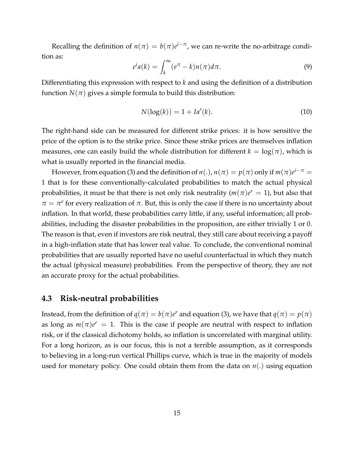Recalling the definition of  $n(\pi) = b(\pi)e^{i-\pi}$ , we can re-write the no-arbitrage condition as:

$$
e^{i}a(k) = \int_{k}^{\infty} (e^{\pi} - k)n(\pi)d\pi.
$$
 (9)

Differentiating this expression with respect to *k* and using the definition of a distribution function  $N(\pi)$  gives a simple formula to build this distribution:

$$
N(\log(k)) = 1 + Ia'(k).
$$
 (10)

The right-hand side can be measured for different strike prices: it is how sensitive the price of the option is to the strike price. Since these strike prices are themselves inflation measures, one can easily build the whole distribution for different  $k = \log(\pi)$ , which is what is usually reported in the financial media.

However, from equation [\(3\)](#page-11-0) and the definition of  $n(.)$ ,  $n(\pi) = p(\pi)$  only if  $m(\pi)e^{i-\pi} =$ 1 that is for these conventionally-calculated probabilities to match the actual physical probabilities, it must be that there is not only risk neutrality  $(m(\pi)e^r = 1)$ , but also that  $\pi = \pi^e$  for every realization of  $\pi$ . But, this is only the case if there is no uncertainty about inflation. In that world, these probabilities carry little, if any, useful information; all probabilities, including the disaster probabilities in the proposition, are either trivially 1 or 0. The reason is that, even if investors are risk neutral, they still care about receiving a payoff in a high-inflation state that has lower real value. To conclude, the conventional nominal probabilities that are usually reported have no useful counterfactual in which they match the actual (physical measure) probabilities. From the perspective of theory, they are not an accurate proxy for the actual probabilities.

#### **4.3 Risk-neutral probabilities**

Instead, from the definition of  $q(\pi) = b(\pi)e^r$  and equation [\(3\)](#page-11-0), we have that  $q(\pi) = p(\pi)$ as long as  $m(\pi)e^r = 1$ . This is the case if people are neutral with respect to inflation risk, or if the classical dichotomy holds, so inflation is uncorrelated with marginal utility. For a long horizon, as is our focus, this is not a terrible assumption, as it corresponds to believing in a long-run vertical Phillips curve, which is true in the majority of models used for monetary policy. One could obtain them from the data on *n*(.) using equation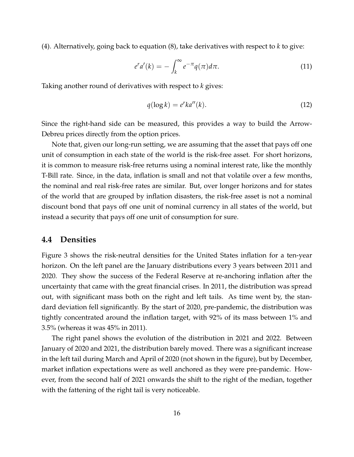[\(4\)](#page-12-0). Alternatively, going back to equation [\(8\)](#page-14-3), take derivatives with respect to *k* to give:

$$
e^r a'(k) = -\int_k^{\infty} e^{-\pi} q(\pi) d\pi.
$$
 (11)

Taking another round of derivatives with respect to *k* gives:

$$
q(\log k) = e^r k a''(k). \tag{12}
$$

Since the right-hand side can be measured, this provides a way to build the Arrow-Debreu prices directly from the option prices.

Note that, given our long-run setting, we are assuming that the asset that pays off one unit of consumption in each state of the world is the risk-free asset. For short horizons, it is common to measure risk-free returns using a nominal interest rate, like the monthly T-Bill rate. Since, in the data, inflation is small and not that volatile over a few months, the nominal and real risk-free rates are similar. But, over longer horizons and for states of the world that are grouped by inflation disasters, the risk-free asset is not a nominal discount bond that pays off one unit of nominal currency in all states of the world, but instead a security that pays off one unit of consumption for sure.

#### **4.4 Densities**

Figure [3](#page-17-0) shows the risk-neutral densities for the United States inflation for a ten-year horizon. On the left panel are the January distributions every 3 years between 2011 and 2020. They show the success of the Federal Reserve at re-anchoring inflation after the uncertainty that came with the great financial crises. In 2011, the distribution was spread out, with significant mass both on the right and left tails. As time went by, the standard deviation fell significantly. By the start of 2020, pre-pandemic, the distribution was tightly concentrated around the inflation target, with 92% of its mass between 1% and 3.5% (whereas it was 45% in 2011).

The right panel shows the evolution of the distribution in 2021 and 2022. Between January of 2020 and 2021, the distribution barely moved. There was a significant increase in the left tail during March and April of 2020 (not shown in the figure), but by December, market inflation expectations were as well anchored as they were pre-pandemic. However, from the second half of 2021 onwards the shift to the right of the median, together with the fattening of the right tail is very noticeable.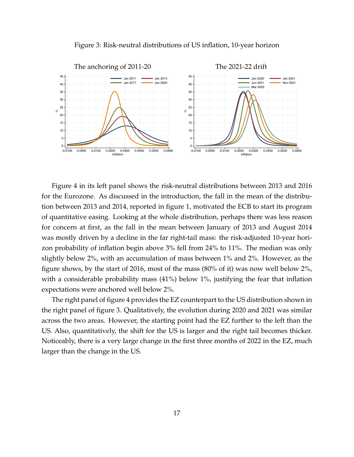

<span id="page-17-0"></span>

Figure [4](#page-18-1) in its left panel shows the risk-neutral distributions between 2013 and 2016 for the Eurozone. As discussed in the introduction, the fall in the mean of the distribution between 2013 and 2014, reported in figure [1,](#page-3-0) motivated the ECB to start its program of quantitative easing. Looking at the whole distribution, perhaps there was less reason for concern at first, as the fall in the mean between January of 2013 and August 2014 was mostly driven by a decline in the far right-tail mass: the risk-adjusted 10-year horizon probability of inflation begin above 3% fell from 24% to 11%. The median was only slightly below 2%, with an accumulation of mass between 1% and 2%. However, as the figure shows, by the start of 2016, most of the mass (80% of it) was now well below 2%, with a considerable probability mass (41%) below 1%, justifying the fear that inflation expectations were anchored well below 2%.

The right panel of figure [4](#page-18-1) provides the EZ counterpart to the US distribution shown in the right panel of figure [3.](#page-17-0) Qualitatively, the evolution during 2020 and 2021 was similar across the two areas. However, the starting point had the EZ further to the left than the US. Also, quantitatively, the shift for the US is larger and the right tail becomes thicker. Noticeably, there is a very large change in the first three months of 2022 in the EZ, much larger than the change in the US.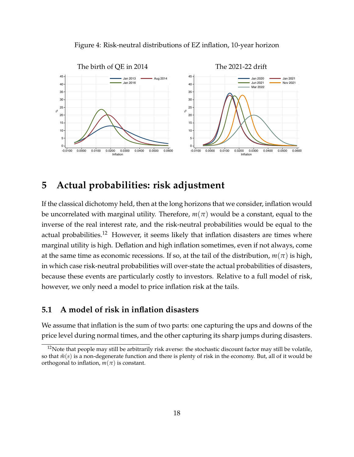

<span id="page-18-1"></span>

## <span id="page-18-0"></span>**5 Actual probabilities: risk adjustment**

If the classical dichotomy held, then at the long horizons that we consider, inflation would be uncorrelated with marginal utility. Therefore,  $m(\pi)$  would be a constant, equal to the inverse of the real interest rate, and the risk-neutral probabilities would be equal to the actual probabilities.<sup>[12](#page-18-2)</sup> However, it seems likely that inflation disasters are times where marginal utility is high. Deflation and high inflation sometimes, even if not always, come at the same time as economic recessions. If so, at the tail of the distribution,  $m(\pi)$  is high, in which case risk-neutral probabilities will over-state the actual probabilities of disasters, because these events are particularly costly to investors. Relative to a full model of risk, however, we only need a model to price inflation risk at the tails.

### **5.1 A model of risk in inflation disasters**

We assume that inflation is the sum of two parts: one capturing the ups and downs of the price level during normal times, and the other capturing its sharp jumps during disasters.

<span id="page-18-2"></span> $12$ Note that people may still be arbitrarily risk averse: the stochastic discount factor may still be volatile, so that  $\tilde{m}(s)$  is a non-degenerate function and there is plenty of risk in the economy. But, all of it would be orthogonal to inflation,  $m(\pi)$  is constant.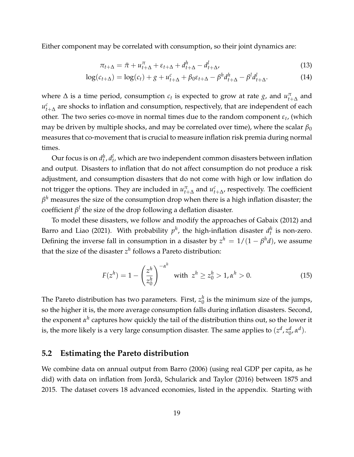Either component may be correlated with consumption, so their joint dynamics are:

$$
\pi_{t+\Delta} = \bar{\pi} + u_{t+\Delta}^{\pi} + \varepsilon_{t+\Delta} + d_{t+\Delta}^h - d_{t+\Delta}^l,\tag{13}
$$

$$
\log(c_{t+\Delta}) = \log(c_t) + g + u_{t+\Delta}^c + \beta_0 \varepsilon_{t+\Delta} - \beta^h d_{t+\Delta}^h - \beta^l d_{t+\Delta}^l. \tag{14}
$$

where  $\Delta$  is a time period, consumption  $c_t$  is expected to grow at rate  $g$ , and  $u_{t+\Delta}^{\pi}$  and  $u_{t+\Delta}^c$  are shocks to inflation and consumption, respectively, that are independent of each other. The two series co-move in normal times due to the random component *ε<sup>t</sup>* , (which may be driven by multiple shocks, and may be correlated over time), where the scalar  $\beta_0$ measures that co-movement that is crucial to measure inflation risk premia during normal times.

Our focus is on  $d_t^h$ ,  $d_t^l$ , which are two independent common disasters between inflation and output. Disasters to inflation that do not affect consumption do not produce a risk adjustment, and consumption disasters that do not come with high or low inflation do not trigger the options. They are included in  $u_{t+\Delta}^{\pi}$  and  $u_{t+\Delta}^c$ , respectively. The coefficient  $\beta^h$  measures the size of the consumption drop when there is a high inflation disaster; the  $\operatorname{coefficient} \beta^l$  the size of the drop following a deflation disaster.

To model these disasters, we follow and modify the approaches of [Gabaix](#page-34-5) [\(2012\)](#page-34-5) and [Barro and Liao](#page-34-6) [\(2021\)](#page-34-6). With probability  $p^h$ , the high-inflation disaster  $d_t^h$  is non-zero. Defining the inverse fall in consumption in a disaster by  $z^h = 1/(1 - \beta^h d)$ , we assume that the size of the disaster  $z^h$  follows a Pareto distribution:

<span id="page-19-0"></span>
$$
F(z^h) = 1 - \left(\frac{z^h}{z_0^h}\right)^{-\alpha^h} \text{ with } z^h \ge z_0^h > 1, \alpha^h > 0. \tag{15}
$$

The Pareto distribution has two parameters. First, *z h*  $\frac{n}{0}$  is the minimum size of the jumps, so the higher it is, the more average consumption falls during inflation disasters. Second, the exponent  $\alpha^h$  captures how quickly the tail of the distribution thins out, so the lower it is, the more likely is a very large consumption disaster. The same applies to  $(z^d, z_0^d)$ 0 , *α d* ).

### **5.2 Estimating the Pareto distribution**

We combine data on annual output from [Barro](#page-34-4) [\(2006\)](#page-34-4) (using real GDP per capita, as he did) with data on inflation from [Jorda, Schularick and Taylor](#page-35-11) ` [\(2016\)](#page-35-11) between 1875 and 2015. The dataset covers 18 advanced economies, listed in the appendix. Starting with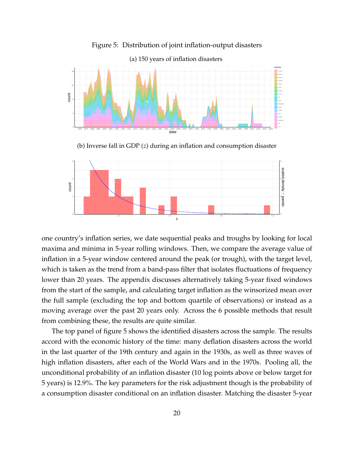<span id="page-20-0"></span>

Figure 5: Distribution of joint inflation-output disasters

(b) Inverse fall in GDP (*z*) during an inflation and consumption disaster



one country's inflation series, we date sequential peaks and troughs by looking for local maxima and minima in 5-year rolling windows. Then, we compare the average value of inflation in a 5-year window centered around the peak (or trough), with the target level, which is taken as the trend from a band-pass filter that isolates fluctuations of frequency lower than 20 years. The appendix discusses alternatively taking 5-year fixed windows from the start of the sample, and calculating target inflation as the winsorized mean over the full sample (excluding the top and bottom quartile of observations) or instead as a moving average over the past 20 years only. Across the 6 possible methods that result from combining these, the results are quite similar.

The top panel of figure [5](#page-20-0) shows the identified disasters across the sample. The results accord with the economic history of the time: many deflation disasters across the world in the last quarter of the 19th century and again in the 1930s, as well as three waves of high inflation disasters, after each of the World Wars and in the 1970s. Pooling all, the unconditional probability of an inflation disaster (10 log points above or below target for 5 years) is 12.9%. The key parameters for the risk adjustment though is the probability of a consumption disaster conditional on an inflation disaster. Matching the disaster 5-year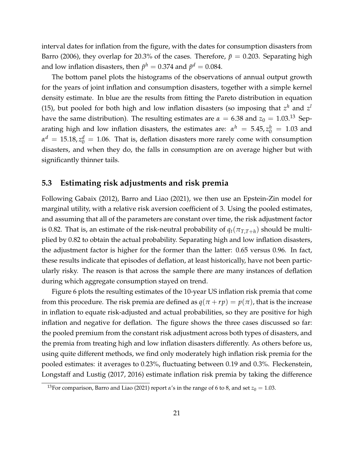interval dates for inflation from the figure, with the dates for consumption disasters from [Barro](#page-34-4) [\(2006\)](#page-34-4), they overlap for 20.3% of the cases. Therefore,  $\tilde{p} = 0.203$ . Separating high and low inflation disasters, then  $\tilde{p}^h = 0.374$  and  $\tilde{p}^d = 0.084.$ 

The bottom panel plots the histograms of the observations of annual output growth for the years of joint inflation and consumption disasters, together with a simple kernel density estimate. In blue are the results from fitting the Pareto distribution in equation [\(15\)](#page-19-0), but pooled for both high and low inflation disasters (so imposing that  $z^h$  and  $z^l$ have the same distribution). The resulting estimates are  $\alpha = 6.38$  and  $z_0 = 1.03$ .<sup>[13](#page-21-0)</sup> Separating high and low inflation disasters, the estimates are:  $\alpha^h = 5.45, z_0^h = 1.03$  and  $\alpha^d = 15.18$ ,  $z_0^d = 1.06$ . That is, deflation disasters more rarely come with consumption disasters, and when they do, the falls in consumption are on average higher but with significantly thinner tails.

#### **5.3 Estimating risk adjustments and risk premia**

Following [Gabaix](#page-34-5) [\(2012\)](#page-34-5), [Barro and Liao](#page-34-6) [\(2021\)](#page-34-6), we then use an Epstein-Zin model for marginal utility, with a relative risk aversion coefficient of 3. Using the pooled estimates, and assuming that all of the parameters are constant over time, the risk adjustment factor is 0.82. That is, an estimate of the risk-neutral probability of  $q_t(\pi_{T,T+h})$  should be multiplied by 0.82 to obtain the actual probability. Separating high and low inflation disasters, the adjustment factor is higher for the former than the latter: 0.65 versus 0.96. In fact, these results indicate that episodes of deflation, at least historically, have not been particularly risky. The reason is that across the sample there are many instances of deflation during which aggregate consumption stayed on trend.

Figure [6](#page-22-1) plots the resulting estimates of the 10-year US inflation risk premia that come from this procedure. The risk premia are defined as  $q(\pi + rp) = p(\pi)$ , that is the increase in inflation to equate risk-adjusted and actual probabilities, so they are positive for high inflation and negative for deflation. The figure shows the three cases discussed so far: the pooled premium from the constant risk adjustment across both types of disasters, and the premia from treating high and low inflation disasters differently. As others before us, using quite different methods, we find only moderately high inflation risk premia for the pooled estimates: it averages to 0.23%, fluctuating between 0.19 and 0.3%. [Fleckenstein,](#page-34-3) [Longstaff and Lustig](#page-34-3) [\(2017,](#page-34-3) [2016\)](#page-34-11) estimate inflation risk premia by taking the difference

<span id="page-21-0"></span><sup>&</sup>lt;sup>13</sup>For comparison, [Barro and Liao](#page-34-6) [\(2021\)](#page-34-6) report  $\alpha$ 's in the range of 6 to 8, and set  $z_0 = 1.03$ .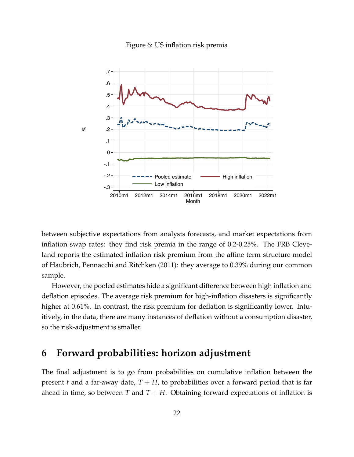

<span id="page-22-1"></span>

between subjective expectations from analysts forecasts, and market expectations from inflation swap rates: they find risk premia in the range of 0.2-0.25%. The FRB Cleveland reports the estimated inflation risk premium from the affine term structure model of [Haubrich, Pennacchi and Ritchken](#page-35-12) [\(2011\)](#page-35-12): they average to 0.39% during our common sample.

However, the pooled estimates hide a significant difference between high inflation and deflation episodes. The average risk premium for high-inflation disasters is significantly higher at 0.61%. In contrast, the risk premium for deflation is significantly lower. Intuitively, in the data, there are many instances of deflation without a consumption disaster, so the risk-adjustment is smaller.

### <span id="page-22-0"></span>**6 Forward probabilities: horizon adjustment**

The final adjustment is to go from probabilities on cumulative inflation between the present *t* and a far-away date,  $T + H$ , to probabilities over a forward period that is far ahead in time, so between *T* and  $T + H$ . Obtaining forward expectations of inflation is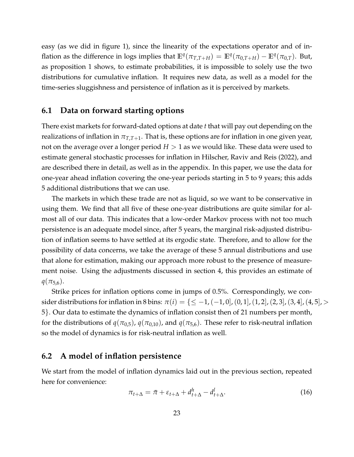easy (as we did in figure [1\)](#page-3-0), since the linearity of the expectations operator and of inflation as the difference in logs implies that  $\mathbb{E}^q(\pi_{T,T+H}) = \mathbb{E}^q(\pi_{0,T+H}) - \mathbb{E}^q(\pi_{0,T})$ . But, as proposition 1 shows, to estimate probabilities, it is impossible to solely use the two distributions for cumulative inflation. It requires new data, as well as a model for the time-series sluggishness and persistence of inflation as it is perceived by markets.

#### **6.1 Data on forward starting options**

There exist markets for forward-dated options at date *t* that will pay out depending on the realizations of inflation in  $\pi_{TT+1}$ . That is, these options are for inflation in one given year, not on the average over a longer period  $H > 1$  as we would like. These data were used to estimate general stochastic processes for inflation in [Hilscher, Raviv and Reis](#page-35-8) [\(2022\)](#page-35-8), and are described there in detail, as well as in the appendix. In this paper, we use the data for one-year ahead inflation covering the one-year periods starting in 5 to 9 years; this adds 5 additional distributions that we can use.

The markets in which these trade are not as liquid, so we want to be conservative in using them. We find that all five of these one-year distributions are quite similar for almost all of our data. This indicates that a low-order Markov process with not too much persistence is an adequate model since, after 5 years, the marginal risk-adjusted distribution of inflation seems to have settled at its ergodic state. Therefore, and to allow for the possibility of data concerns, we take the average of these 5 annual distributions and use that alone for estimation, making our approach more robust to the presence of measurement noise. Using the adjustments discussed in section [4,](#page-13-0) this provides an estimate of  $q(\pi_{5,6}).$ 

Strike prices for inflation options come in jumps of 0.5%. Correspondingly, we consider distributions for inflation in 8 bins:  $\pi(i) = \{ \leq -1, (-1, 0], (0, 1], (1, 2], (2, 3], (3, 4], (4, 5], >$ 5}. Our data to estimate the dynamics of inflation consist then of 21 numbers per month, for the distributions of  $q(\pi_{0,5})$ ,  $q(\pi_{0,10})$ , and  $q(\pi_{5,6})$ . These refer to risk-neutral inflation so the model of dynamics is for risk-neutral inflation as well.

### **6.2 A model of inflation persistence**

We start from the model of inflation dynamics laid out in the previous section, repeated here for convenience:

$$
\pi_{t+\Delta} = \bar{\pi} + \varepsilon_{t+\Delta} + d_{t+\Delta}^h - d_{t+\Delta}^l.
$$
\n(16)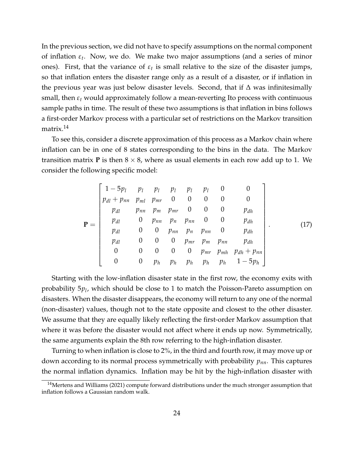In the previous section, we did not have to specify assumptions on the normal component of inflation *ε<sup>t</sup>* . Now, we do. We make two major assumptions (and a series of minor ones). First, that the variance of  $\varepsilon_t$  is small relative to the size of the disaster jumps, so that inflation enters the disaster range only as a result of a disaster, or if inflation in the previous year was just below disaster levels. Second, that if  $\Delta$  was infinitesimally small, then  $\varepsilon_t$  would approximately follow a mean-reverting Ito process with continuous sample paths in time. The result of these two assumptions is that inflation in bins follows a first-order Markov process with a particular set of restrictions on the Markov transition matrix.<sup>[14](#page-24-0)</sup>

To see this, consider a discrete approximation of this process as a Markov chain where inflation can be in one of 8 states corresponding to the bins in the data. The Markov transition matrix **P** is then  $8 \times 8$ , where as usual elements in each row add up to 1. We consider the following specific model:

$$
\mathbf{P} = \begin{bmatrix}\n1 - 5p_l & p_l & p_l & p_l & p_l & 0 & 0 \\
p_{dl} + p_{nn} & p_{ml} & p_{mr} & 0 & 0 & 0 & 0 & 0 \\
p_{dl} & p_{nn} & p_m & p_{mr} & 0 & 0 & 0 & p_{dh} \\
p_{dl} & 0 & p_{nn} & p_n & p_{nn} & 0 & 0 & p_{dh} \\
p_{dl} & 0 & 0 & p_{nn} & p_n & p_{nn} & 0 & p_{dh} \\
p_{dl} & 0 & 0 & 0 & p_{mr} & p_m & p_{nn} & p_{dh} \\
0 & 0 & 0 & 0 & 0 & p_{mr} & p_{mh} & p_{dh} + p_{nn} \\
0 & 0 & p_h & p_h & p_h & p_h & p_h & 1 - 5p_h\n\end{bmatrix}.
$$
\n(17)

Starting with the low-inflation disaster state in the first row, the economy exits with probability 5*p<sup>l</sup>* , which should be close to 1 to match the Poisson-Pareto assumption on disasters. When the disaster disappears, the economy will return to any one of the normal (non-disaster) values, though not to the state opposite and closest to the other disaster. We assume that they are equally likely reflecting the first-order Markov assumption that where it was before the disaster would not affect where it ends up now. Symmetrically, the same arguments explain the 8th row referring to the high-inflation disaster.

Turning to when inflation is close to 2%, in the third and fourth row, it may move up or down according to its normal process symmetrically with probability *pnn*. This captures the normal inflation dynamics. Inflation may be hit by the high-inflation disaster with

<span id="page-24-0"></span> $14$ [Mertens and Williams](#page-35-9) [\(2021\)](#page-35-9) compute forward distributions under the much stronger assumption that inflation follows a Gaussian random walk.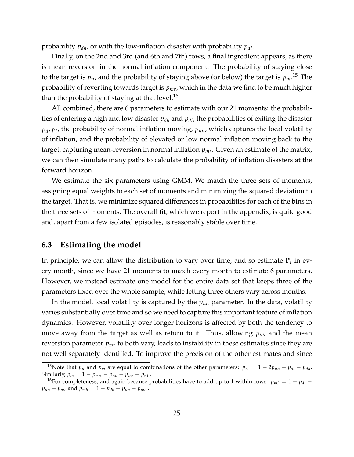probability *pdh*, or with the low-inflation disaster with probability *pdl*.

Finally, on the 2nd and 3rd (and 6th and 7th) rows, a final ingredient appears, as there is mean reversion in the normal inflation component. The probability of staying close to the target is *pn*, and the probability of staying above (or below) the target is *pm*. [15](#page-25-0) The probability of reverting towards target is *pmr*, which in the data we find to be much higher than the probability of staying at that level.<sup>[16](#page-25-1)</sup>

All combined, there are 6 parameters to estimate with our 21 moments: the probabilities of entering a high and low disaster *pdh* and *pdl*, the probabilities of exiting the disaster *pd* , *p<sup>l</sup>* , the probability of normal inflation moving, *pnn*, which captures the local volatility of inflation, and the probability of elevated or low normal inflation moving back to the target, capturing mean-reversion in normal inflation *pmr*. Given an estimate of the matrix, we can then simulate many paths to calculate the probability of inflation disasters at the forward horizon.

We estimate the six parameters using GMM. We match the three sets of moments, assigning equal weights to each set of moments and minimizing the squared deviation to the target. That is, we minimize squared differences in probabilities for each of the bins in the three sets of moments. The overall fit, which we report in the appendix, is quite good and, apart from a few isolated episodes, is reasonably stable over time.

#### **6.3 Estimating the model**

In principle, we can allow the distribution to vary over time, and so estimate  $\mathbf{P}_t$  in every month, since we have 21 moments to match every month to estimate 6 parameters. However, we instead estimate one model for the entire data set that keeps three of the parameters fixed over the whole sample, while letting three others vary across months.

In the model, local volatility is captured by the *pnn* parameter. In the data, volatility varies substantially over time and so we need to capture this important feature of inflation dynamics. However, volatility over longer horizons is affected by both the tendency to move away from the target as well as return to it. Thus, allowing *pnn* and the mean reversion parameter *pmr* to both vary, leads to instability in these estimates since they are not well separately identified. To improve the precision of the other estimates and since

<span id="page-25-0"></span><sup>&</sup>lt;sup>15</sup>Note that  $p_n$  and  $p_m$  are equal to combinations of the other parameters:  $p_n = 1 - 2p_{nn} - p_{dl} - p_{dh}$ . Similarly,  $p_m = 1 - p_{nH} - p_{nn} - p_{mr} - p_{nL}$ .

<span id="page-25-1"></span><sup>&</sup>lt;sup>16</sup>For completeness, and again because probabilities have to add up to 1 within rows:  $p_{ml} = 1 - p_{dl}$ *p*<sub>nn</sub> − *p*<sub>*mr*</sub> and *p*<sub>*mh*</sub> = 1 − *p*<sub>*dh*</sub> − *p*<sub>*mn*</sub> − *p*<sub>*mr*</sub> .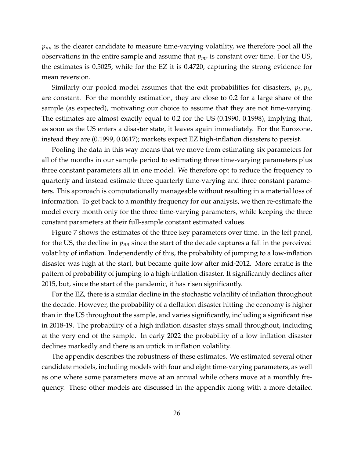$p_{nn}$  is the clearer candidate to measure time-varying volatility, we therefore pool all the observations in the entire sample and assume that *pmr* is constant over time. For the US, the estimates is 0.5025, while for the EZ it is 0.4720, capturing the strong evidence for mean reversion.

Similarly our pooled model assumes that the exit probabilities for disasters,  $p_l$ ,  $p_h$ , are constant. For the monthly estimation, they are close to 0.2 for a large share of the sample (as expected), motivating our choice to assume that they are not time-varying. The estimates are almost exactly equal to 0.2 for the US (0.1990, 0.1998), implying that, as soon as the US enters a disaster state, it leaves again immediately. For the Eurozone, instead they are (0.1999, 0.0617); markets expect EZ high-inflation disasters to persist.

Pooling the data in this way means that we move from estimating six parameters for all of the months in our sample period to estimating three time-varying parameters plus three constant parameters all in one model. We therefore opt to reduce the frequency to quarterly and instead estimate three quarterly time-varying and three constant parameters. This approach is computationally manageable without resulting in a material loss of information. To get back to a monthly frequency for our analysis, we then re-estimate the model every month only for the three time-varying parameters, while keeping the three constant parameters at their full-sample constant estimated values.

Figure [7](#page-27-1) shows the estimates of the three key parameters over time. In the left panel, for the US, the decline in *pnn* since the start of the decade captures a fall in the perceived volatility of inflation. Independently of this, the probability of jumping to a low-inflation disaster was high at the start, but became quite low after mid-2012. More erratic is the pattern of probability of jumping to a high-inflation disaster. It significantly declines after 2015, but, since the start of the pandemic, it has risen significantly.

For the EZ, there is a similar decline in the stochastic volatility of inflation throughout the decade. However, the probability of a deflation disaster hitting the economy is higher than in the US throughout the sample, and varies significantly, including a significant rise in 2018-19. The probability of a high inflation disaster stays small throughout, including at the very end of the sample. In early 2022 the probability of a low inflation disaster declines markedly and there is an uptick in inflation volatility.

The appendix describes the robustness of these estimates. We estimated several other candidate models, including models with four and eight time-varying parameters, as well as one where some parameters move at an annual while others move at a monthly frequency. These other models are discussed in the appendix along with a more detailed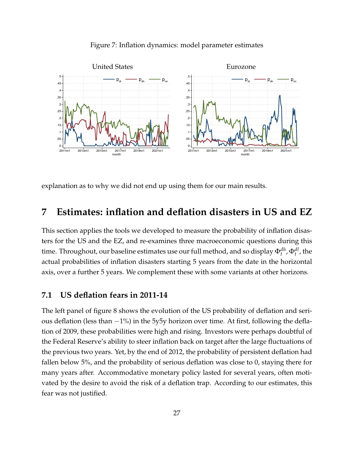<span id="page-27-1"></span>

#### Figure 7: Inflation dynamics: model parameter estimates

explanation as to why we did not end up using them for our main results.

## <span id="page-27-0"></span>**7 Estimates: inflation and deflation disasters in US and EZ**

This section applies the tools we developed to measure the probability of inflation disasters for the US and the EZ, and re-examines three macroeconomic questions during this time. Throughout, our baseline estimates use our full method, and so display  $\Phi_t^{dh}$ ,  $\Phi_t^{dl}$ , the actual probabilities of inflation disasters starting 5 years from the date in the horizontal axis, over a further 5 years. We complement these with some variants at other horizons.

### **7.1 US deflation fears in 2011-14**

The left panel of figure [8](#page-28-0) shows the evolution of the US probability of deflation and serious deflation (less than −1%) in the 5y5y horizon over time. At first, following the deflation of 2009, these probabilities were high and rising. Investors were perhaps doubtful of the Federal Reserve's ability to steer inflation back on target after the large fluctuations of the previous two years. Yet, by the end of 2012, the probability of persistent deflation had fallen below 5%, and the probability of serious deflation was close to 0, staying there for many years after. Accommodative monetary policy lasted for several years, often motivated by the desire to avoid the risk of a deflation trap. According to our estimates, this fear was not justified.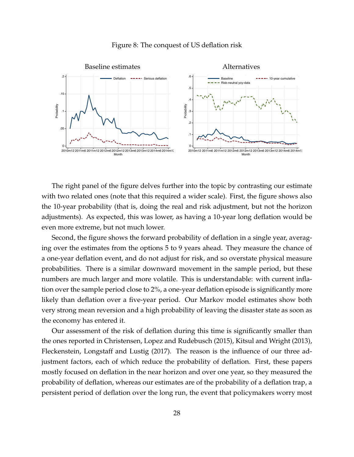<span id="page-28-0"></span>

#### Figure 8: The conquest of US deflation risk

The right panel of the figure delves further into the topic by contrasting our estimate with two related ones (note that this required a wider scale). First, the figure shows also the 10-year probability (that is, doing the real and risk adjustment, but not the horizon adjustments). As expected, this was lower, as having a 10-year long deflation would be even more extreme, but not much lower.

Second, the figure shows the forward probability of deflation in a single year, averaging over the estimates from the options 5 to 9 years ahead. They measure the chance of a one-year deflation event, and do not adjust for risk, and so overstate physical measure probabilities. There is a similar downward movement in the sample period, but these numbers are much larger and more volatile. This is understandable: with current inflation over the sample period close to 2%, a one-year deflation episode is significantly more likely than deflation over a five-year period. Our Markov model estimates show both very strong mean reversion and a high probability of leaving the disaster state as soon as the economy has entered it.

Our assessment of the risk of deflation during this time is significantly smaller than the ones reported in [Christensen, Lopez and Rudebusch](#page-34-12) [\(2015\)](#page-34-12), [Kitsul and Wright](#page-35-10) [\(2013\)](#page-35-10), [Fleckenstein, Longstaff and Lustig](#page-34-3) [\(2017\)](#page-34-3). The reason is the influence of our three adjustment factors, each of which reduce the probability of deflation. First, these papers mostly focused on deflation in the near horizon and over one year, so they measured the probability of deflation, whereas our estimates are of the probability of a deflation trap, a persistent period of deflation over the long run, the event that policymakers worry most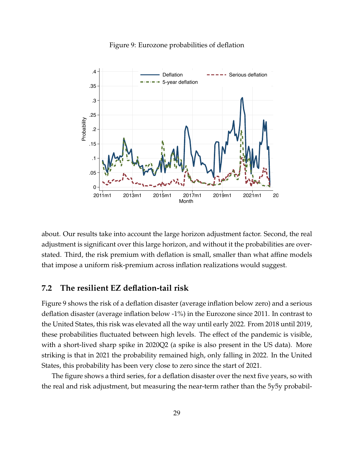<span id="page-29-0"></span>

Figure 9: Eurozone probabilities of deflation

about. Our results take into account the large horizon adjustment factor. Second, the real adjustment is significant over this large horizon, and without it the probabilities are overstated. Third, the risk premium with deflation is small, smaller than what affine models that impose a uniform risk-premium across inflation realizations would suggest.

#### **7.2 The resilient EZ deflation-tail risk**

Figure [9](#page-29-0) shows the risk of a deflation disaster (average inflation below zero) and a serious deflation disaster (average inflation below -1%) in the Eurozone since 2011. In contrast to the United States, this risk was elevated all the way until early 2022. From 2018 until 2019, these probabilities fluctuated between high levels. The effect of the pandemic is visible, with a short-lived sharp spike in 2020Q2 (a spike is also present in the US data). More striking is that in 2021 the probability remained high, only falling in 2022. In the United States, this probability has been very close to zero since the start of 2021.

The figure shows a third series, for a deflation disaster over the next five years, so with the real and risk adjustment, but measuring the near-term rather than the 5y5y probabil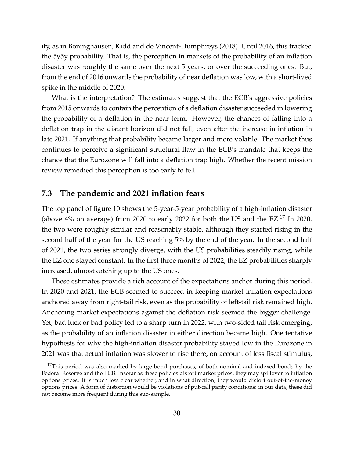ity, as in [Boninghausen, Kidd and de Vincent-Humphreys](#page-34-13) [\(2018\)](#page-34-13). Until 2016, this tracked the 5y5y probability. That is, the perception in markets of the probability of an inflation disaster was roughly the same over the next 5 years, or over the succeeding ones. But, from the end of 2016 onwards the probability of near deflation was low, with a short-lived spike in the middle of 2020.

What is the interpretation? The estimates suggest that the ECB's aggressive policies from 2015 onwards to contain the perception of a deflation disaster succeeded in lowering the probability of a deflation in the near term. However, the chances of falling into a deflation trap in the distant horizon did not fall, even after the increase in inflation in late 2021. If anything that probability became larger and more volatile. The market thus continues to perceive a significant structural flaw in the ECB's mandate that keeps the chance that the Eurozone will fall into a deflation trap high. Whether the recent mission review remedied this perception is too early to tell.

### **7.3 The pandemic and 2021 inflation fears**

The top panel of figure [10](#page-31-0) shows the 5-year-5-year probability of a high-inflation disaster (above  $4\%$  on average) from 2020 to early 2022 for both the US and the EZ.<sup>[17](#page-30-0)</sup> In 2020, the two were roughly similar and reasonably stable, although they started rising in the second half of the year for the US reaching 5% by the end of the year. In the second half of 2021, the two series strongly diverge, with the US probabilities steadily rising, while the EZ one stayed constant. In the first three months of 2022, the EZ probabilities sharply increased, almost catching up to the US ones.

These estimates provide a rich account of the expectations anchor during this period. In 2020 and 2021, the ECB seemed to succeed in keeping market inflation expectations anchored away from right-tail risk, even as the probability of left-tail risk remained high. Anchoring market expectations against the deflation risk seemed the bigger challenge. Yet, bad luck or bad policy led to a sharp turn in 2022, with two-sided tail risk emerging, as the probability of an inflation disaster in either direction became high. One tentative hypothesis for why the high-inflation disaster probability stayed low in the Eurozone in 2021 was that actual inflation was slower to rise there, on account of less fiscal stimulus,

<span id="page-30-0"></span> $17$ This period was also marked by large bond purchases, of both nominal and indexed bonds by the Federal Reserve and the ECB. Insofar as these policies distort market prices, they may spillover to inflation options prices. It is much less clear whether, and in what direction, they would distort out-of-the-money options prices. A form of distortion would be violations of put-call parity conditions: in our data, these did not become more frequent during this sub-sample.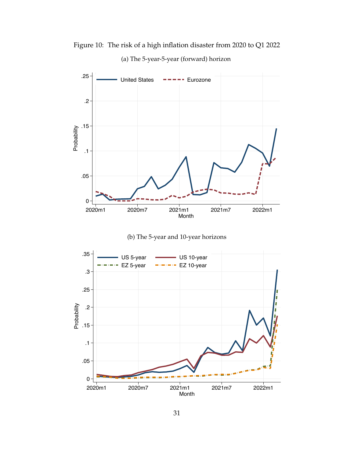

(a) The 5-year-5-year (forward) horizon

<span id="page-31-0"></span>Figure 10: The risk of a high inflation disaster from 2020 to Q1 2022



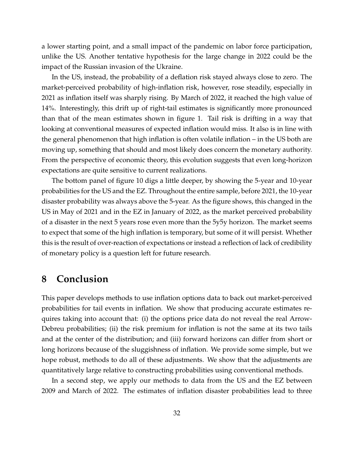a lower starting point, and a small impact of the pandemic on labor force participation, unlike the US. Another tentative hypothesis for the large change in 2022 could be the impact of the Russian invasion of the Ukraine.

In the US, instead, the probability of a deflation risk stayed always close to zero. The market-perceived probability of high-inflation risk, however, rose steadily, especially in 2021 as inflation itself was sharply rising. By March of 2022, it reached the high value of 14%. Interestingly, this drift up of right-tail estimates is significantly more pronounced than that of the mean estimates shown in figure [1.](#page-3-0) Tail risk is drifting in a way that looking at conventional measures of expected inflation would miss. It also is in line with the general phenomenon that high inflation is often volatile inflation – in the US both are moving up, something that should and most likely does concern the monetary authority. From the perspective of economic theory, this evolution suggests that even long-horizon expectations are quite sensitive to current realizations.

The bottom panel of figure [10](#page-31-0) digs a little deeper, by showing the 5-year and 10-year probabilities for the US and the EZ. Throughout the entire sample, before 2021, the 10-year disaster probability was always above the 5-year. As the figure shows, this changed in the US in May of 2021 and in the EZ in January of 2022, as the market perceived probability of a disaster in the next 5 years rose even more than the 5y5y horizon. The market seems to expect that some of the high inflation is temporary, but some of it will persist. Whether this is the result of over-reaction of expectations or instead a reflection of lack of credibility of monetary policy is a question left for future research.

## <span id="page-32-0"></span>**8 Conclusion**

This paper develops methods to use inflation options data to back out market-perceived probabilities for tail events in inflation. We show that producing accurate estimates requires taking into account that: (i) the options price data do not reveal the real Arrow-Debreu probabilities; (ii) the risk premium for inflation is not the same at its two tails and at the center of the distribution; and (iii) forward horizons can differ from short or long horizons because of the sluggishness of inflation. We provide some simple, but we hope robust, methods to do all of these adjustments. We show that the adjustments are quantitatively large relative to constructing probabilities using conventional methods.

In a second step, we apply our methods to data from the US and the EZ between 2009 and March of 2022. The estimates of inflation disaster probabilities lead to three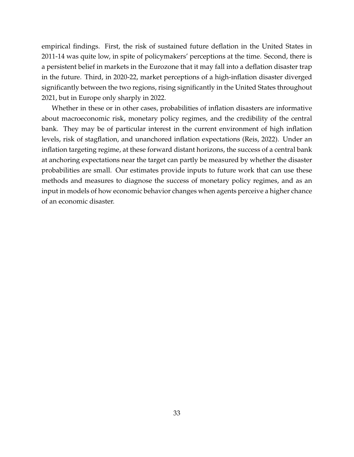empirical findings. First, the risk of sustained future deflation in the United States in 2011-14 was quite low, in spite of policymakers' perceptions at the time. Second, there is a persistent belief in markets in the Eurozone that it may fall into a deflation disaster trap in the future. Third, in 2020-22, market perceptions of a high-inflation disaster diverged significantly between the two regions, rising significantly in the United States throughout 2021, but in Europe only sharply in 2022.

Whether in these or in other cases, probabilities of inflation disasters are informative about macroeconomic risk, monetary policy regimes, and the credibility of the central bank. They may be of particular interest in the current environment of high inflation levels, risk of stagflation, and unanchored inflation expectations [\(Reis,](#page-35-5) [2022\)](#page-35-5). Under an inflation targeting regime, at these forward distant horizons, the success of a central bank at anchoring expectations near the target can partly be measured by whether the disaster probabilities are small. Our estimates provide inputs to future work that can use these methods and measures to diagnose the success of monetary policy regimes, and as an input in models of how economic behavior changes when agents perceive a higher chance of an economic disaster.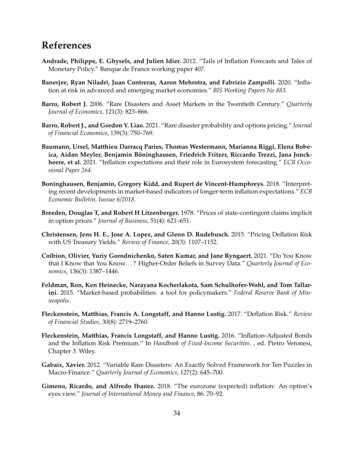## **References**

- <span id="page-34-1"></span>**Andrade, Philippe, E. Ghysels, and Julien Idier.** 2012. "Tails of Inflation Forecasts and Tales of Monetary Policy." Banque de France working paper 407.
- <span id="page-34-0"></span>**Banerjee, Ryan Niladri, Juan Contreras, Aaron Mehrotra, and Fabrizio Zampolli.** 2020. "Inflation at risk in advanced and emerging market economies." *BIS Working Papers No 883*.
- <span id="page-34-4"></span>**Barro, Robert J.** 2006. "Rare Disasters and Asset Markets in the Twentieth Century." *Quarterly Journal of Economics*, 121(3): 823–866.
- <span id="page-34-6"></span>**Barro, Robert J., and Gordon Y. Liao.** 2021. "Rare disaster probability and options pricing." *Journal of Financial Economics*, 139(3): 750–769.
- <span id="page-34-9"></span>**Baumann, Ursel, Matthieu Darracq Paries, Thomas Westermann, Marianna Riggi, Elena Bobe**ica, Aidan Meyler, Benjamin Böninghausen, Friedrich Fritzer, Riccardo Trezzi, Jana Jonck**heere, et al.** 2021. "Inflation expectations and their role in Eurosystem forecasting." *ECB Occasional Paper 264*.
- <span id="page-34-13"></span>**Boninghausen, Benjamin, Gregory Kidd, and Rupert de Vincent-Humphreys.** 2018. "Interpreting recent developments in market-based indicators of longer-term inflation expectations." *ECB Economic Bulletin, Iussue 6/2018*.
- <span id="page-34-8"></span>**Breeden, Douglas T, and Robert H Litzenberger.** 1978. "Prices of state-contingent claims implicit in option prices." *Journal of Business*, 51(4): 621–651.
- <span id="page-34-12"></span>**Christensen, Jens H. E., Jose A. Lopez, and Glenn D. Rudebusch.** 2015. "Pricing Deflation Risk with US Treasury Yields." *Review of Finance*, 20(3): 1107–1152.
- <span id="page-34-2"></span>**Coibion, Olivier, Yuriy Gorodnichenko, Saten Kumar, and Jane Ryngaert.** 2021. "Do You Know that I Know that You Know. . . ? Higher-Order Beliefs in Survey Data." *Quarterly Journal of Economics*, 136(3): 1387–1446.
- <span id="page-34-10"></span>**Feldman, Ron, Ken Heinecke, Narayana Kocherlakota, Sam Schulhofer-Wohl, and Tom Tallarini.** 2015. "Market-based probabilities: a tool for policymakers." *Federal Reserve Bank of Minneapolis*.
- <span id="page-34-3"></span>**Fleckenstein, Matthias, Francis A. Longstaff, and Hanno Lustig.** 2017. "Deflation Risk." *Review of Financial Studies*, 30(8): 2719–2760.
- <span id="page-34-11"></span>**Fleckenstein, Matthias, Francis Longstaff, and Hanno Lustig.** 2016. "Inflation-Adjusted Bonds and the Inflation Risk Premium." In *Handbook of Fixed-Income Securities*. , ed. Pietro Veronesi, Chapter 3. Wiley.
- <span id="page-34-5"></span>**Gabaix, Xavier.** 2012. "Variable Rare Disasters: An Exactly Solved Framework for Ten Puzzles in Macro-Finance." *Quarterly Journal of Economics*, 127(2): 645–700.
- <span id="page-34-7"></span>**Gimeno, Ricardo, and Alfredo Ibanez.** 2018. "The eurozone (expected) inflation: An option's eyes view." *Journal of International Money and Finance*, 86: 70–92.